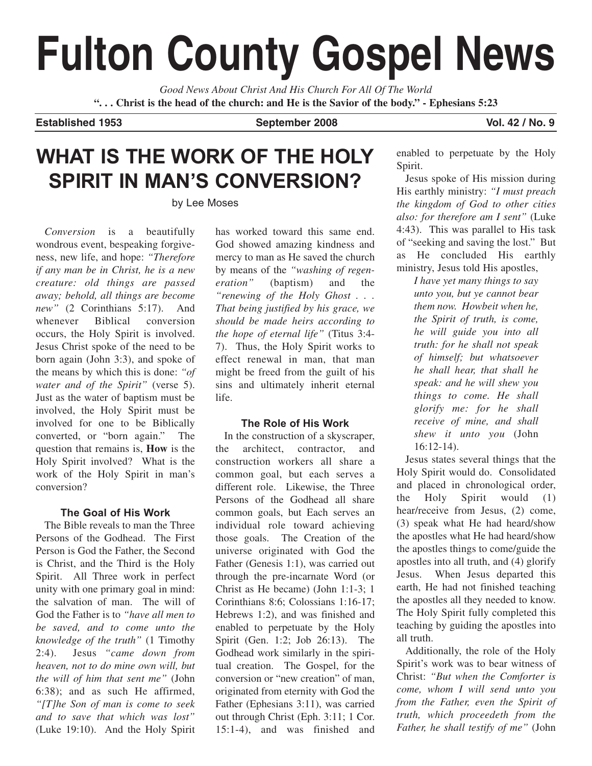# **Fulton County Gospel News**

*Good News About Christ And His Church For All Of The World* **". . . Christ is the head of the church: and He is the Savior of the body." - Ephesians 5:23**

**Established 1953 September 2008 Vol. 42 / No. 9**

### **WHAT IS THE WORK OF THE HOLY SPIRIT IN MAN'S CONVERSION?**

by Lee Moses

*Conversion* is a beautifully wondrous event, bespeaking forgiveness, new life, and hope: *"Therefore if any man be in Christ, he is a new creature: old things are passed away; behold, all things are become new"* (2 Corinthians 5:17). And whenever Biblical conversion occurs, the Holy Spirit is involved. Jesus Christ spoke of the need to be born again (John 3:3), and spoke of the means by which this is done: *"of water and of the Spirit"* (verse 5). Just as the water of baptism must be involved, the Holy Spirit must be involved for one to be Biblically converted, or "born again." The question that remains is, **How** is the Holy Spirit involved? What is the work of the Holy Spirit in man's conversion?

### **The Goal of His Work**

The Bible reveals to man the Three Persons of the Godhead. The First Person is God the Father, the Second is Christ, and the Third is the Holy Spirit. All Three work in perfect unity with one primary goal in mind: the salvation of man. The will of God the Father is to *"have all men to be saved, and to come unto the knowledge of the truth"* (1 Timothy 2:4). Jesus *"came down from heaven, not to do mine own will, but the will of him that sent me"* (John 6:38); and as such He affirmed, *"[T]he Son of man is come to seek and to save that which was lost"* (Luke 19:10). And the Holy Spirit has worked toward this same end. God showed amazing kindness and mercy to man as He saved the church by means of the *"washing of regeneration"* (baptism) and the *"renewing of the Holy Ghost . . . That being justified by his grace, we should be made heirs according to the hope of eternal life"* (Titus 3:4- 7). Thus, the Holy Spirit works to effect renewal in man, that man might be freed from the guilt of his sins and ultimately inherit eternal life.

### **The Role of His Work**

In the construction of a skyscraper, the architect, contractor, and construction workers all share a common goal, but each serves a different role. Likewise, the Three Persons of the Godhead all share common goals, but Each serves an individual role toward achieving those goals. The Creation of the universe originated with God the Father (Genesis 1:1), was carried out through the pre-incarnate Word (or Christ as He became) (John 1:1-3; 1 Corinthians 8:6; Colossians 1:16-17; Hebrews 1:2), and was finished and enabled to perpetuate by the Holy Spirit (Gen. 1:2; Job 26:13). The Godhead work similarly in the spiritual creation. The Gospel, for the conversion or "new creation" of man, originated from eternity with God the Father (Ephesians 3:11), was carried out through Christ (Eph. 3:11; 1 Cor. 15:1-4), and was finished and enabled to perpetuate by the Holy Spirit.

Jesus spoke of His mission during His earthly ministry: *"I must preach the kingdom of God to other cities also: for therefore am I sent"* (Luke 4:43). This was parallel to His task of "seeking and saving the lost." But as He concluded His earthly ministry, Jesus told His apostles,

*I have yet many things to say unto you, but ye cannot bear them now. Howbeit when he, the Spirit of truth, is come, he will guide you into all truth: for he shall not speak of himself; but whatsoever he shall hear, that shall he speak: and he will shew you things to come. He shall glorify me: for he shall receive of mine, and shall shew it unto you* (John 16:12-14).

Jesus states several things that the Holy Spirit would do. Consolidated and placed in chronological order, the Holy Spirit would (1) hear/receive from Jesus, (2) come, (3) speak what He had heard/show the apostles what He had heard/show the apostles things to come/guide the apostles into all truth, and (4) glorify Jesus. When Jesus departed this earth, He had not finished teaching the apostles all they needed to know. The Holy Spirit fully completed this teaching by guiding the apostles into all truth.

Additionally, the role of the Holy Spirit's work was to bear witness of Christ: *"But when the Comforter is come, whom I will send unto you from the Father, even the Spirit of truth, which proceedeth from the Father, he shall testify of me"* (John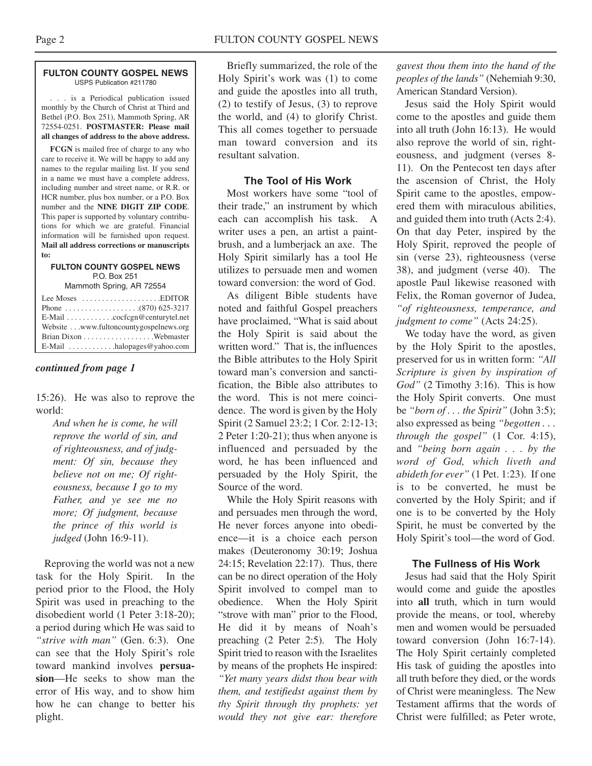#### **FULTON COUNTY GOSPEL NEWS** USPS Publication #211780

. . . is a Periodical publication issued monthly by the Church of Christ at Third and Bethel (P.O. Box 251), Mammoth Spring, AR 72554-0251. **POSTMASTER: Please mail all changes of address to the above address.**

**FCGN** is mailed free of charge to any who care to receive it. We will be happy to add any names to the regular mailing list. If you send in a name we must have a complete address, including number and street name, or R.R. or HCR number, plus box number, or a P.O. Box number and the **NINE DIGIT ZIP CODE**. This paper is supported by voluntary contributions for which we are grateful. Financial information will be furnished upon request. **Mail all address corrections or manuscripts to:**

#### **FULTON COUNTY GOSPEL NEWS** P.O. Box 251

Mammoth Spring, AR 72554

| Lee Moses $\dots \dots \dots \dots \dots$ . EDITOR          |
|-------------------------------------------------------------|
|                                                             |
| E-Mail $\ldots \ldots \ldots \ldots$ cocfcgn@centurytel.net |
| Website www.fultoncountygospelnews.org                      |
|                                                             |
| E-Mail $\dots \dots \dots$ halopages @ yahoo.com            |

### *continued from page 1*

15:26). He was also to reprove the world:

*And when he is come, he will reprove the world of sin, and of righteousness, and of judgment: Of sin, because they believe not on me; Of righteousness, because I go to my Father, and ye see me no more; Of judgment, because the prince of this world is judged* (John 16:9-11).

Reproving the world was not a new task for the Holy Spirit. In the period prior to the Flood, the Holy Spirit was used in preaching to the disobedient world (1 Peter 3:18-20); a period during which He was said to *"strive with man"* (Gen. 6:3). One can see that the Holy Spirit's role toward mankind involves **persuasion**—He seeks to show man the error of His way, and to show him how he can change to better his plight.

Briefly summarized, the role of the Holy Spirit's work was (1) to come and guide the apostles into all truth, (2) to testify of Jesus, (3) to reprove the world, and (4) to glorify Christ. This all comes together to persuade man toward conversion and its resultant salvation.

### **The Tool of His Work**

Most workers have some "tool of their trade," an instrument by which each can accomplish his task. A writer uses a pen, an artist a paintbrush, and a lumberjack an axe. The Holy Spirit similarly has a tool He utilizes to persuade men and women toward conversion: the word of God.

As diligent Bible students have noted and faithful Gospel preachers have proclaimed, "What is said about the Holy Spirit is said about the written word." That is, the influences the Bible attributes to the Holy Spirit toward man's conversion and sanctification, the Bible also attributes to the word. This is not mere coincidence. The word is given by the Holy Spirit (2 Samuel 23:2; 1 Cor. 2:12-13; 2 Peter 1:20-21); thus when anyone is influenced and persuaded by the word, he has been influenced and persuaded by the Holy Spirit, the Source of the word.

While the Holy Spirit reasons with and persuades men through the word, He never forces anyone into obedience—it is a choice each person makes (Deuteronomy 30:19; Joshua 24:15; Revelation 22:17). Thus, there can be no direct operation of the Holy Spirit involved to compel man to obedience. When the Holy Spirit "strove with man" prior to the Flood, He did it by means of Noah's preaching (2 Peter 2:5). The Holy Spirit tried to reason with the Israelites by means of the prophets He inspired: *"Yet many years didst thou bear with them, and testifiedst against them by thy Spirit through thy prophets: yet would they not give ear: therefore*

*gavest thou them into the hand of the peoples of the lands"* (Nehemiah 9:30, American Standard Version).

Jesus said the Holy Spirit would come to the apostles and guide them into all truth (John 16:13). He would also reprove the world of sin, righteousness, and judgment (verses 8- 11). On the Pentecost ten days after the ascension of Christ, the Holy Spirit came to the apostles, empowered them with miraculous abilities, and guided them into truth (Acts 2:4). On that day Peter, inspired by the Holy Spirit, reproved the people of sin (verse 23), righteousness (verse 38), and judgment (verse 40). The apostle Paul likewise reasoned with Felix, the Roman governor of Judea, *"of righteousness, temperance, and judgment to come"* (Acts 24:25).

We today have the word, as given by the Holy Spirit to the apostles, preserved for us in written form: *"All Scripture is given by inspiration of God"* (2 Timothy 3:16). This is how the Holy Spirit converts. One must be *"born of . . . the Spirit"* (John 3:5); also expressed as being *"begotten . . . through the gospel"* (1 Cor. 4:15), and *"being born again . . . by the word of God, which liveth and abideth for ever"* (1 Pet. 1:23). If one is to be converted, he must be converted by the Holy Spirit; and if one is to be converted by the Holy Spirit, he must be converted by the Holy Spirit's tool—the word of God.

### **The Fullness of His Work**

Jesus had said that the Holy Spirit would come and guide the apostles into **all** truth, which in turn would provide the means, or tool, whereby men and women would be persuaded toward conversion (John 16:7-14). The Holy Spirit certainly completed His task of guiding the apostles into all truth before they died, or the words of Christ were meaningless. The New Testament affirms that the words of Christ were fulfilled; as Peter wrote,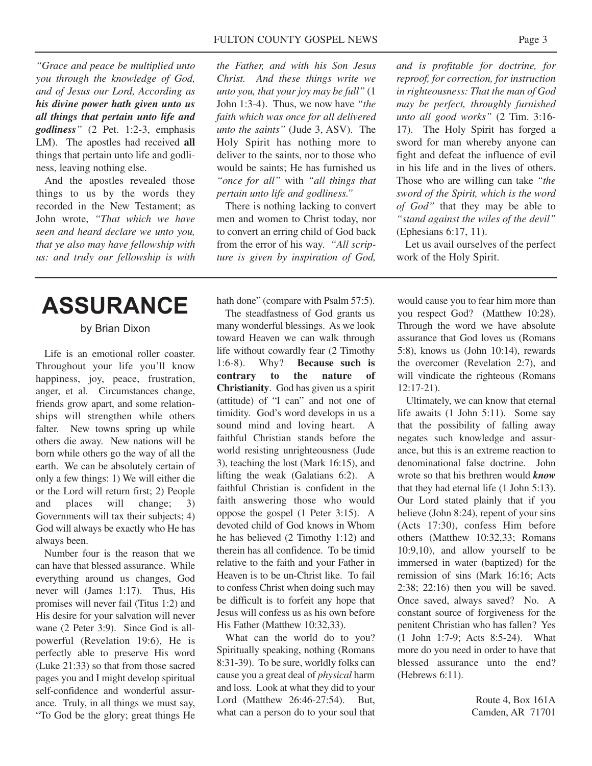*"Grace and peace be multiplied unto you through the knowledge of God, and of Jesus our Lord, According as his divine power hath given unto us all things that pertain unto life and godliness"* (2 Pet. 1:2-3, emphasis LM). The apostles had received **all** things that pertain unto life and godliness, leaving nothing else.

And the apostles revealed those things to us by the words they recorded in the New Testament; as John wrote, *"That which we have seen and heard declare we unto you, that ye also may have fellowship with us: and truly our fellowship is with*

## **ASSURANCE**

### by Brian Dixon

Life is an emotional roller coaster. Throughout your life you'll know happiness, joy, peace, frustration, anger, et al. Circumstances change, friends grow apart, and some relationships will strengthen while others falter. New towns spring up while others die away. New nations will be born while others go the way of all the earth. We can be absolutely certain of only a few things: 1) We will either die or the Lord will return first; 2) People and places will change; 3) Governments will tax their subjects; 4) God will always be exactly who He has always been.

Number four is the reason that we can have that blessed assurance. While everything around us changes, God never will (James 1:17). Thus, His promises will never fail (Titus 1:2) and His desire for your salvation will never wane (2 Peter 3:9). Since God is allpowerful (Revelation 19:6), He is perfectly able to preserve His word (Luke 21:33) so that from those sacred pages you and I might develop spiritual self-confidence and wonderful assurance. Truly, in all things we must say, "To God be the glory; great things He

*the Father, and with his Son Jesus Christ. And these things write we unto you, that your joy may be full"* (1 John 1:3-4). Thus, we now have *"the faith which was once for all delivered unto the saints"* (Jude 3, ASV). The Holy Spirit has nothing more to deliver to the saints, nor to those who would be saints; He has furnished us *"once for all"* with *"all things that pertain unto life and godliness."*

There is nothing lacking to convert men and women to Christ today, nor to convert an erring child of God back from the error of his way. *"All scripture is given by inspiration of God,*

hath done" (compare with Psalm 57:5).

The steadfastness of God grants us many wonderful blessings. As we look toward Heaven we can walk through life without cowardly fear (2 Timothy 1:6-8). Why? **Because such is contrary to the nature of Christianity**. God has given us a spirit (attitude) of "I can" and not one of timidity. God's word develops in us a sound mind and loving heart. A faithful Christian stands before the world resisting unrighteousness (Jude 3), teaching the lost (Mark 16:15), and lifting the weak (Galatians 6:2). A faithful Christian is confident in the faith answering those who would oppose the gospel (1 Peter 3:15). A devoted child of God knows in Whom he has believed (2 Timothy 1:12) and therein has all confidence. To be timid relative to the faith and your Father in Heaven is to be un-Christ like. To fail to confess Christ when doing such may be difficult is to forfeit any hope that Jesus will confess us as his own before His Father (Matthew 10:32,33).

What can the world do to you? Spiritually speaking, nothing (Romans 8:31-39). To be sure, worldly folks can cause you a great deal of *physical* harm and loss. Look at what they did to your Lord (Matthew 26:46-27:54). But, what can a person do to your soul that *and is profitable for doctrine, for reproof, for correction, for instruction in righteousness: That the man of God may be perfect, throughly furnished unto all good works"* (2 Tim. 3:16- 17). The Holy Spirit has forged a sword for man whereby anyone can fight and defeat the influence of evil in his life and in the lives of others. Those who are willing can take *"the sword of the Spirit, which is the word of God"* that they may be able to *"stand against the wiles of the devil"* (Ephesians 6:17, 11).

Let us avail ourselves of the perfect work of the Holy Spirit.

would cause you to fear him more than you respect God? (Matthew 10:28). Through the word we have absolute assurance that God loves us (Romans 5:8), knows us (John 10:14), rewards the overcomer (Revelation 2:7), and will vindicate the righteous (Romans 12:17-21).

Ultimately, we can know that eternal life awaits (1 John 5:11). Some say that the possibility of falling away negates such knowledge and assurance, but this is an extreme reaction to denominational false doctrine. John wrote so that his brethren would *know* that they had eternal life (1 John 5:13). Our Lord stated plainly that if you believe (John 8:24), repent of your sins (Acts 17:30), confess Him before others (Matthew 10:32,33; Romans 10:9,10), and allow yourself to be immersed in water (baptized) for the remission of sins (Mark 16:16; Acts 2:38; 22:16) then you will be saved. Once saved, always saved? No. A constant source of forgiveness for the penitent Christian who has fallen? Yes (1 John 1:7-9; Acts 8:5-24). What more do you need in order to have that blessed assurance unto the end? (Hebrews 6:11).

> Route 4, Box 161A Camden, AR 71701